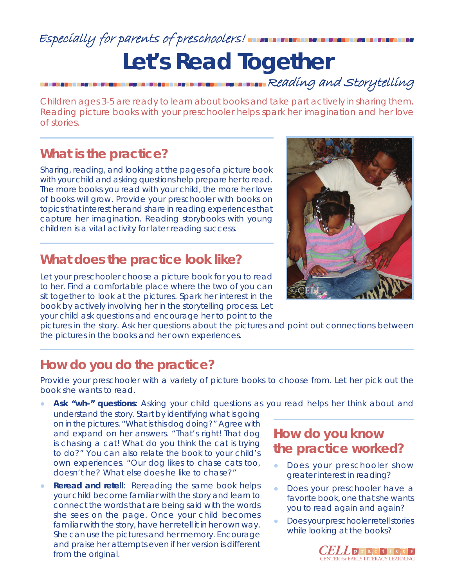### **Let's Read Together** Especially for parents of preschoolers! Reading and Storytelling

Children ages 3-5 are ready to learn about books and take part actively in sharing them. Reading picture books with your preschooler helps spark her imagination and her love of stories.

#### **What is the practice?**

Sharing, reading, and looking at the pages of a picture book with your child and asking questions help prepare her to read. The more books you read with your child, the more her love of books will grow. Provide your preschooler with books on topics that interest her and share in reading experiences that capture her imagination. Reading storybooks with young children is a vital activity for later reading success.

#### **What does the practice look like?**

Let your preschooler choose a picture book for you to read to her. Find a comfortable place where the two of you can sit together to look at the pictures. Spark her interest in the book by actively involving her in the storytelling process. Let your child ask questions and encourage her to point to the



pictures in the story. Ask her questions about the pictures and point out connections between the pictures in the books and her own experiences.

#### **How do you do the practice?**

Provide your preschooler with a variety of picture books to choose from. Let her pick out the book she wants to read.

- Ask "wh-" questions: Asking your child questions as you read helps her think about and
- understand the story. Start by identifying what is going on in the pictures. *"What is this dog doing?"* Agree with and expand on her answers. *"That's right! That dog is chasing a cat! What do you think the cat is trying to do?"* You can also relate the book to your child's own experiences. *"Our dog likes to chase cats too, doesn't he? What else does he like to chase?"*
- **Reread and retell**: Rereading the same book helps your child become familiar with the story and learn to connect the words that are being said with the words she sees on the page. Once your child becomes familiar with the story, have her retell it in her own way. She can use the pictures and her memory. Encourage and praise her attempts even if her version is different from the original.

#### **How do you know the practice worked?**

- Does your preschooler show greater interest in reading?
- Does your preschooler have a favorite book, one that she wants you to read again and again?
- Does your preschooler retell stories while looking at the books?